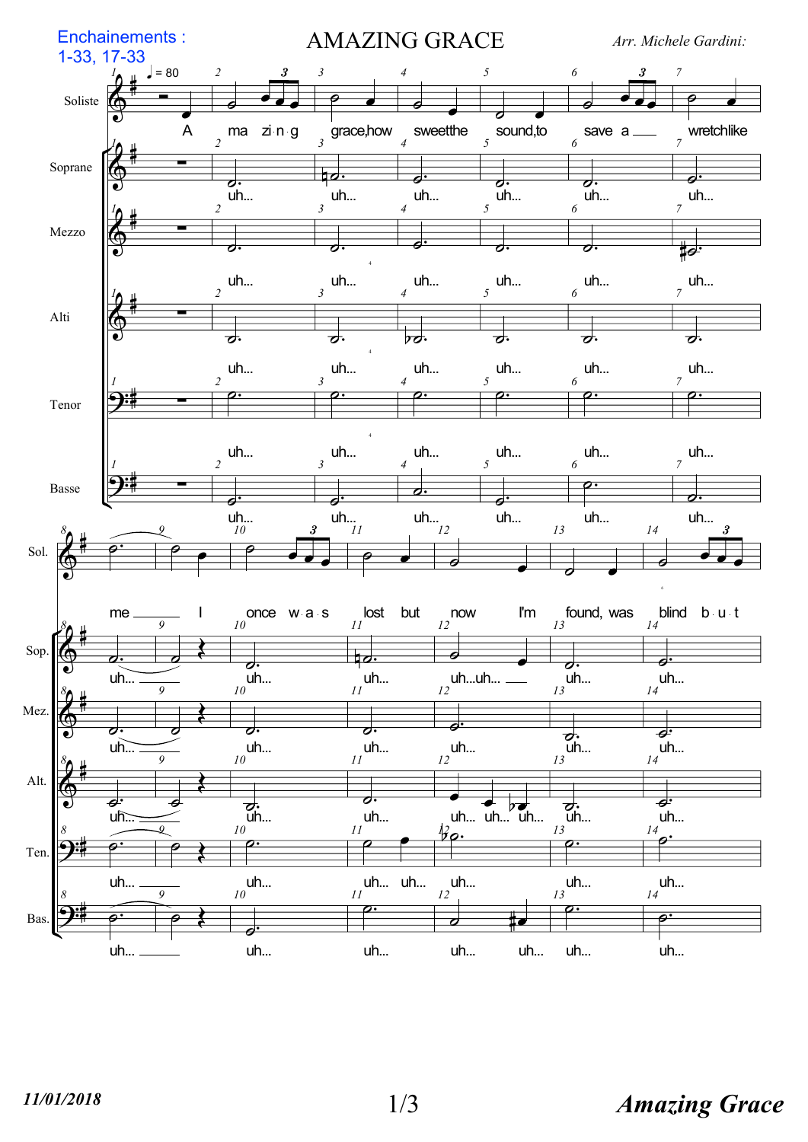

## $1/3$  Amazing Grace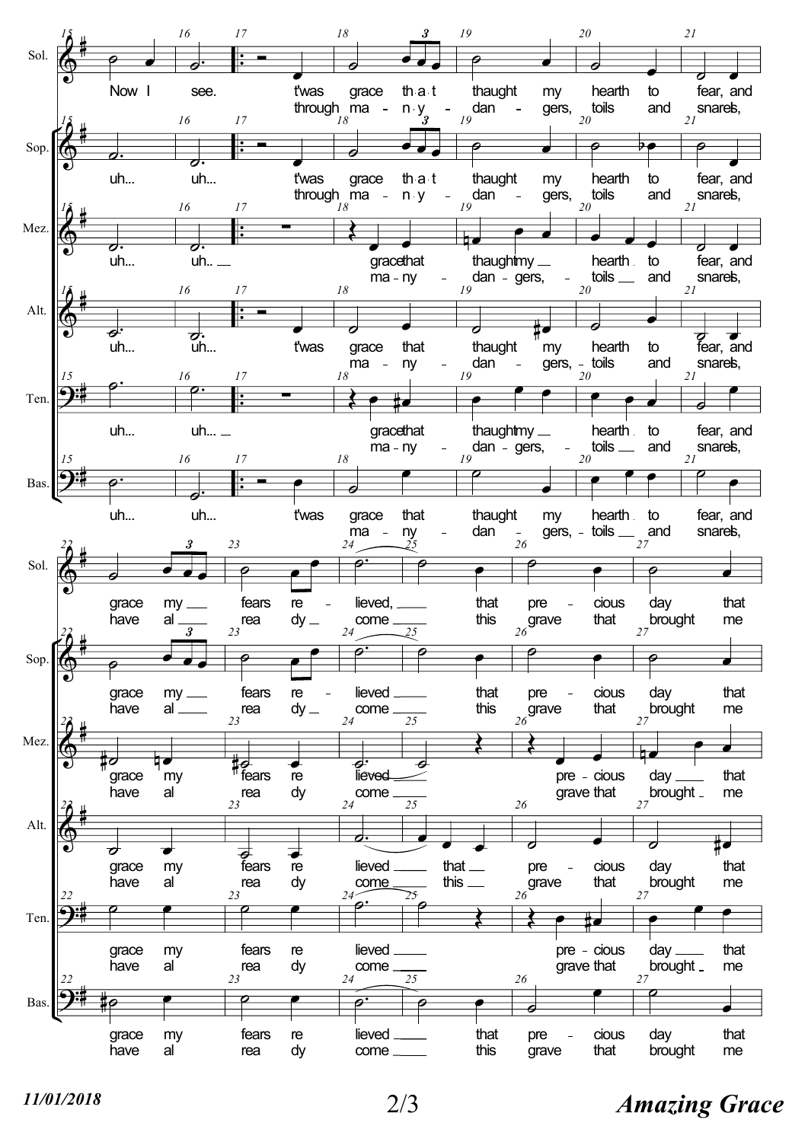

## $11/01/2018$   $2/3$  Amazing Grace